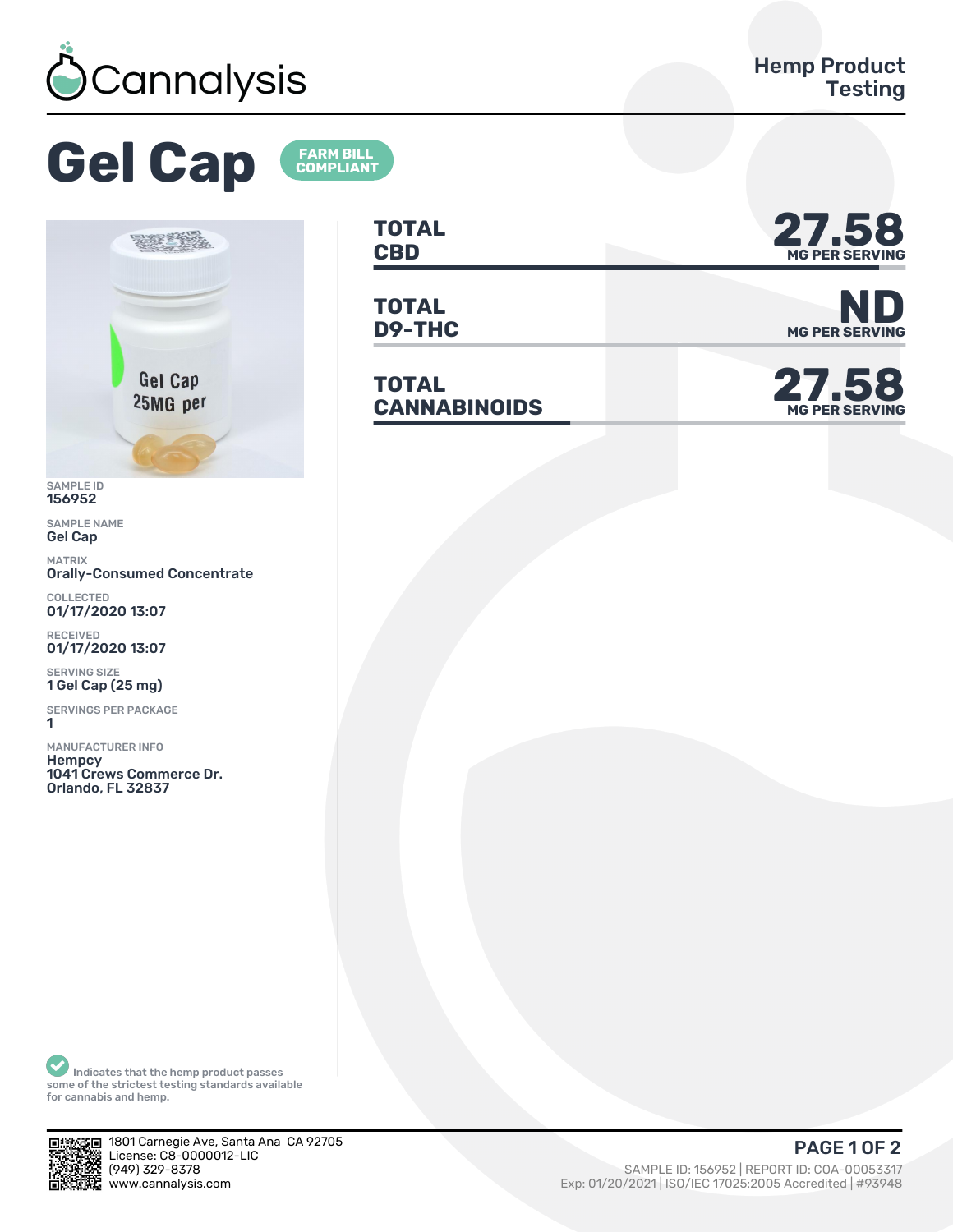

## **Gel Cap**



SAMPLE ID 156952

SAMPLE NAME Gel Cap

MATRIX Orally-Consumed Concentrate

COLLECTED<br>**01/17/2020 13:07** 

RECEIVED 01/17/2020 13:07

SERVING SIZE 1 Gel Cap (25 mg)

SERVINGS PER PACKAGE ǽ

MANUFACTURER INFO **Hempcy** 1041 Crews Commerce Dr. Orlando, FL 32837

**TOTAL** TOTAL **27.58** 

**TOTAL**

**FARM BILL<br>COMPLIANT** 

**TOTAL CANNABINOIDS 27.58**



**D9-THC** MG PER SERVING



Indicates that the hemp product passes some of the strictest testing standards available for cannabis and hemp.



1801 Carnegie Ave, Santa Ana CA 92705 License: C8-0000012-LIC<br>(949) 329-8378